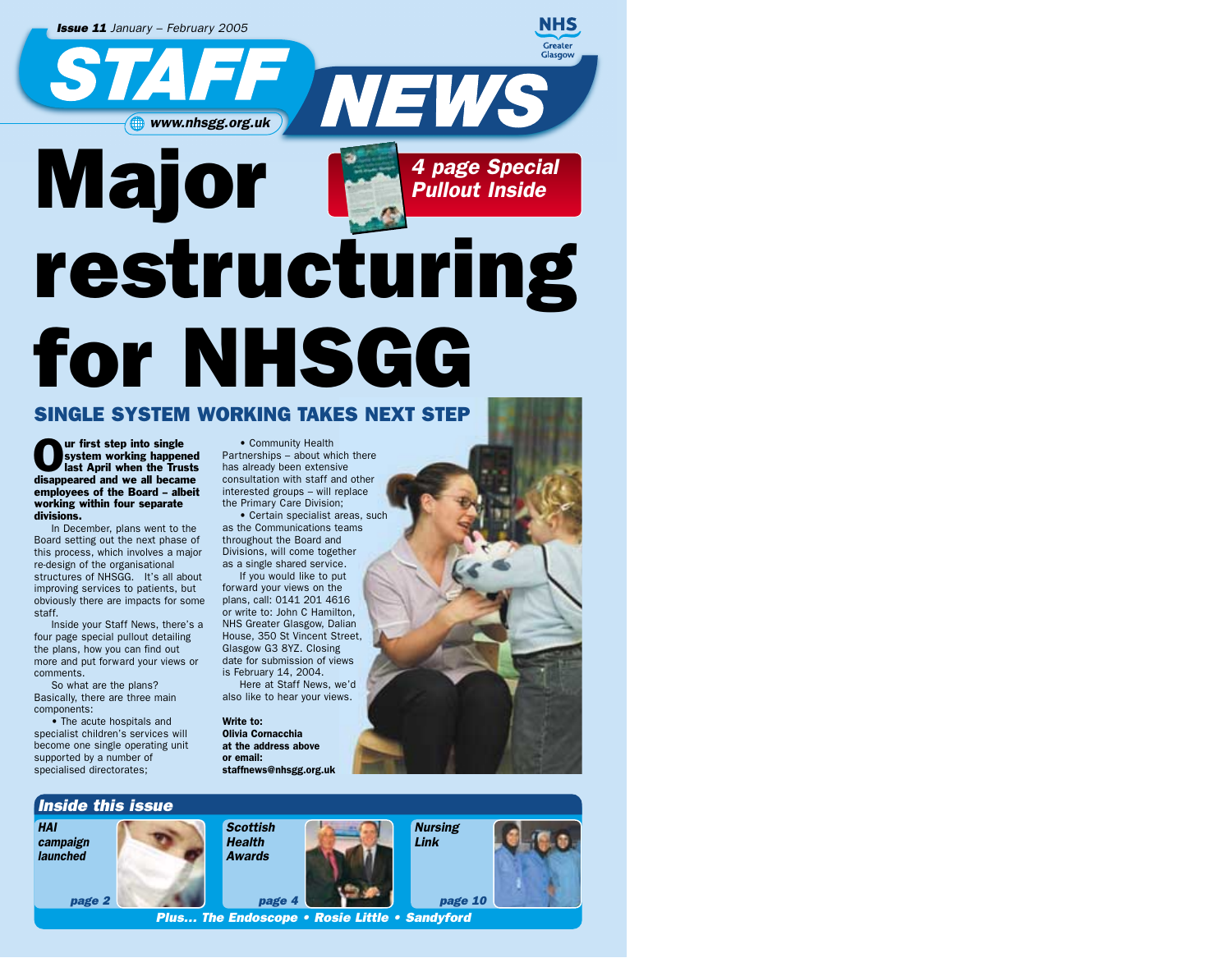

# for NHSGG

#### SINGLE SYSTEM WORKING TAKES NEXT STEP

Our first step into single<br>system working happer<br>last April when the Tru system working happened last April when the Trusts disappeared and we all became employees of the Board – albeit working within four separate divisions.

In December, plans went to the Board setting out the next phase of this process, which involves a major re-design of the organisational structures of NHSGG. It's all about improving services to patients, but obviously there are impacts for some staff.

Inside your Staff News, there's a four page special pullout detailing the plans, how you can find out more and put forward your views or comments.

So what are the plans? Basically, there are three main components:

• The acute hospitals and specialist children's services will become one single operating unit supported by a number of specialised directorates;

*HAI campaign launched*

• Community Health Partnerships – about which there has already been extensive consultation with staff and other interested groups – will replace the Primary Care Division;

• Certain specialist areas, such as the Communications teams throughout the Board and Divisions, will come together as a single shared service.

If you would like to put forward your views on the plans, call: 0141 201 4616 or write to: John C Hamilton, NHS Greater Glasgow, Dalian House, 350 St Vincent Street, Glasgow G3 8YZ. Closing date for submission of views is February 14, 2004.

Here at Staff News, we'd also like to hear your views.

Write to: Olivia Cornacchia at the address above or email: staffnews@nhsgg.org.uk



*Plus… The Endoscope • Rosie Little • Sandyford*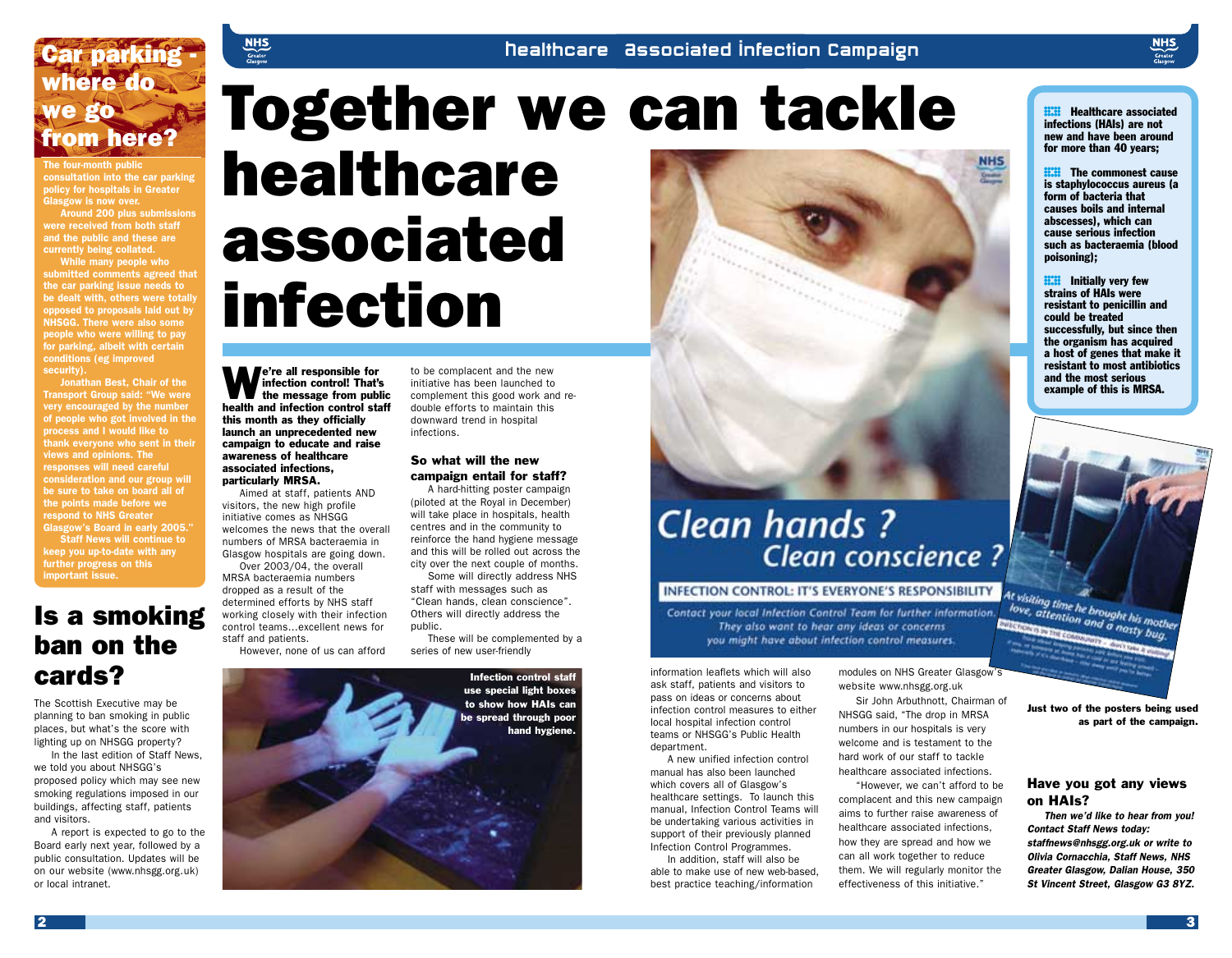### Car parking where do we go from here?

The four-month public consultation into the car parking policy for hospitals in Greater Glasgow is now over.

Around 200 plus submissions were received from both staff and the public and these are currently being collated.

While many people who submitted comments agreed that the car parking issue needs to be dealt with, others were totally opposed to proposals laid out by NHSGG. There were also some people who were willing to pay for parking, albeit with certain conditions (eg improved security).

Jonathan Best, Chair of the Transport Group said: "We were very encouraged by the number of people who got involved in the process and I would like to thank everyone who sent in their views and opinions. The responses will need careful consideration and our group will be sure to take on board all of the points made before we respond to NHS Greater Glasgow's Board in early 2005." Staff News will continue to keep you up-to-date with any further progress on this important issue.

### Is a smoking ban on the cards?

The Scottish Executive may be planning to ban smoking in public places, but what's the score with lighting up on NHSGG property?

In the last edition of Staff News, we told you about NHSGG's proposed policy which may see new smoking regulations imposed in our buildings, affecting staff, patients and visitors.

A report is expected to go to the Board early next year, followed by a public consultation. Updates will be on our website (www.nhsgg.org.uk) or local intranet.

# Together we can tackle healthcare associated infection

We're all responsible for<br>the message from pub infection control! That's the message from public health and infection control staff this month as they officially launch an unprecedented new campaign to educate and raise awareness of healthcare associated infections, particularly MRSA.

 $\begin{array}{c}\nMHS \\
\hline\n\text{Greater} \\
\text{Glassoow}\n\end{array}$ 

Aimed at staff, patients AND visitors, the new high profile initiative comes as NHSGG welcomes the news that the overall numbers of MRSA bacteraemia in Glasgow hospitals are going down.

Over 2003/04, the overall MRSA bacteraemia numbers dropped as a result of the determined efforts by NHS staff working closely with their infection control teams…excellent news for staff and patients. However, none of us can afford

to be complacent and the new initiative has been launched to complement this good work and redouble efforts to maintain this downward trend in hospital infections.

#### So what will the new campaign entail for staff?

A hard-hitting poster campaign (piloted at the Royal in December) will take place in hospitals, health centres and in the community to reinforce the hand hygiene message and this will be rolled out across the city over the next couple of months.

Some will directly address NHS staff with messages such as "Clean hands, clean conscience". Others will directly address the public.

These will be complemented by a series of new user-friendly

> Infection control staff use special light boxes to show how HAIs can be spread through poor hand hygiene.





### **Clean hands?** Clean conscience?

#### INFECTION CONTROL: IT'S EVERYONE'S RESPONSIBILITY

Contact your local Infection Control Team for further information. They also want to hear any ideas or concerns you might have about infection control measures.

information leaflets which will also ask staff, patients and visitors to pass on ideas or concerns about infection control measures to either local hospital infection control teams or NHSGG's Public Health department.

A new unified infection control manual has also been launched which covers all of Glasgow's healthcare settings. To launch this manual, Infection Control Teams will be undertaking various activities in support of their previously planned Infection Control Programmes.

In addition, staff will also be able to make use of new web-based, best practice teaching/information

modules on NHS Greater Glasgow's website www.nhsgg.org.uk

Sir John Arbuthnott, Chairman of NHSGG said, "The drop in MRSA numbers in our hospitals is very welcome and is testament to the hard work of our staff to tackle healthcare associated infections.

"However, we can't afford to be complacent and this new campaign aims to further raise awareness of healthcare associated infections, how they are spread and how we can all work together to reduce them. We will regularly monitor the effectiveness of this initiative."

**HEALTER HEALT HEALTER ENSTANDING INCONTRACT SET ALTERATION**<br> **NEW and have been around** infections (HAIs) are not for more than 40 years;

**NHS** 

**EXECUTE:** The commonest cause<br>is staphylococcus aureus (a<br>form of bacteria that is staphylococcus aureus (a form of bacteria that causes boils and internal abscesses), which can cause serious infection such as bacteraemia (blood poisoning);

**EXAM** Initially very few<br>strains of HAIs were<br>resistant to penicillin and strains of HAIs were could be treated successfully, but since then the organism has acquired a host of genes that make it resistant to most antibiotics and the most serious example of this is MRSA.



Just two of the posters being used as part of the campaign.

#### Have you got any views on HAIs?

*Then we'd like to hear from you! Contact Staff News today: staffnews@nhsgg.org.uk or write to Olivia Cornacchia, Staff News, NHS Greater Glasgow, Dalian House, 350 St Vincent Street, Glasgow G3 8YZ.*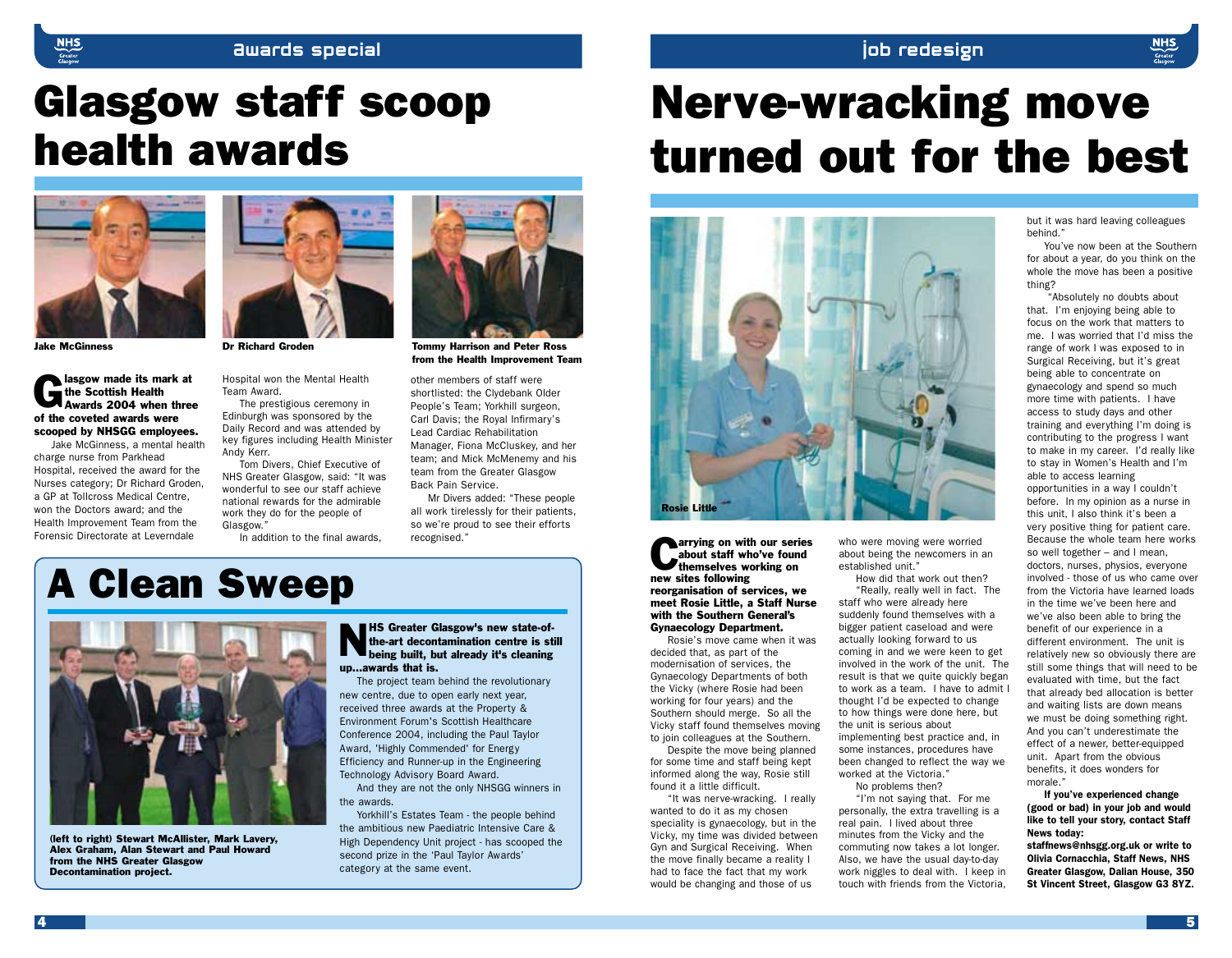#### Awards special Job redesign

# Glasgow staff scoop health awards



Jake McGinness Dr Richard Groden Tommy Harrison and Peter Ross

lasgow made its mark at<br>the Scottish Health<br>Awards 2004 when thre the Scottish Health Awards 2004 when three of the coveted awards were scooped by NHSGG employees.

Jake McGinness, a mental health charge nurse from Parkhead Hospital, received the award for the Nurses category; Dr Richard Groden, a GP at Tollcross Medical Centre, won the Doctors award; and the Health Improvement Team from the Forensic Directorate at Leverndale



Hospital won the Mental Health Team Award.

The prestigious ceremony in Edinburgh was sponsored by the Daily Record and was attended by key figures including Health Minister Andy Kerr.

Tom Divers, Chief Executive of NHS Greater Glasgow, said: "It was wonderful to see our staff achieve national rewards for the admirable work they do for the people of Glasgow."

In addition to the final awards,

# A Clean Sweep



(left to right) Stewart McAllister, Mark Lavery, Alex Graham, Alan Stewart and Paul Howard from the NHS Greater Glasgow Decontamination project.

NHS Greater Glasgow's new state-of-being built, but already it's cleaning the-art decontamination centre is still up…awards that is.

Back Pain Service.

recognised."

other members of staff were shortlisted: the Clydebank Older People's Team; Yorkhill surgeon, Carl Davis; the Royal Infirmary's Lead Cardiac Rehabilitation Manager, Fiona McCluskey, and her team; and Mick McMenemy and his team from the Greater Glasgow

from the Health Improvement Team

Mr Divers added: "These people all work tirelessly for their patients, so we're proud to see their efforts

The project team behind the revolutionary new centre, due to open early next year, received three awards at the Property & Environment Forum's Scottish Healthcare Conference 2004, including the Paul Taylor Award, 'Highly Commended' for Energy Efficiency and Runner-up in the Engineering Technology Advisory Board Award.

And they are not the only NHSGG winners in the awards.

Yorkhill's Estates Team - the people behind the ambitious new Paediatric Intensive Care & High Dependency Unit project - has scooped the second prize in the 'Paul Taylor Awards' category at the same event.

# Nerve-wracking move turned out for the best



**Carrying on with our series**<br>about staff who've found<br>themselves working on about staff who've found new sites following reorganisation of services, we meet Rosie Little, a Staff Nurse with the Southern General's Gynaecology Department.

Rosie's move came when it was decided that, as part of the modernisation of services, the Gynaecology Departments of both the Vicky (where Rosie had been working for four years) and the Southern should merge. So all the Vicky staff found themselves moving to join colleagues at the Southern.

Despite the move being planned for some time and staff being kept informed along the way, Rosie still found it a little difficult.

"It was nerve-wracking. I really wanted to do it as my chosen speciality is gynaecology, but in the Vicky, my time was divided between Gyn and Surgical Receiving. When the move finally became a reality I had to face the fact that my work would be changing and those of us

who were moving were worried about being the newcomers in an established unit."

How did that work out then? "Really, really well in fact. The staff who were already here suddenly found themselves with a bigger patient caseload and were actually looking forward to us coming in and we were keen to get involved in the work of the unit. The result is that we quite quickly began to work as a team. I have to admit I thought I'd be expected to change to how things were done here, but the unit is serious about implementing best practice and, in some instances, procedures have been changed to reflect the way we worked at the Victoria." No problems then?

"I'm not saying that. For me personally, the extra travelling is a real pain. I lived about three minutes from the Vicky and the commuting now takes a lot longer. Also, we have the usual day-to-day work niggles to deal with. I keep in touch with friends from the Victoria,

but it was hard leaving colleagues behind."

You've now been at the Southern for about a year, do you think on the whole the move has been a positive thing?

"Absolutely no doubts about that. I'm enjoying being able to focus on the work that matters to me. I was worried that I'd miss the range of work I was exposed to in Surgical Receiving, but it's great being able to concentrate on gynaecology and spend so much more time with patients. I have access to study days and other training and everything I'm doing is contributing to the progress I want to make in my career. I'd really like to stay in Women's Health and I'm able to access learning opportunities in a way I couldn't before. In my opinion as a nurse in this unit, I also think it's been a very positive thing for patient care. Because the whole team here works so well together – and I mean, doctors, nurses, physios, everyone involved - those of us who came over from the Victoria have learned loads in the time we've been here and we've also been able to bring the benefit of our experience in a different environment. The unit is relatively new so obviously there are still some things that will need to be evaluated with time, but the fact that already bed allocation is better and waiting lists are down means we must be doing something right. And you can't underestimate the effect of a newer, better-equipped unit. Apart from the obvious benefits, it does wonders for morale."

#### If you've experienced change

(good or bad) in your job and would like to tell your story, contact Staff News today:

staffnews@nhsgg.org.uk or write to Olivia Cornacchia, Staff News, NHS Greater Glasgow, Dalian House, 350 St Vincent Street, Glasgow G3 8YZ.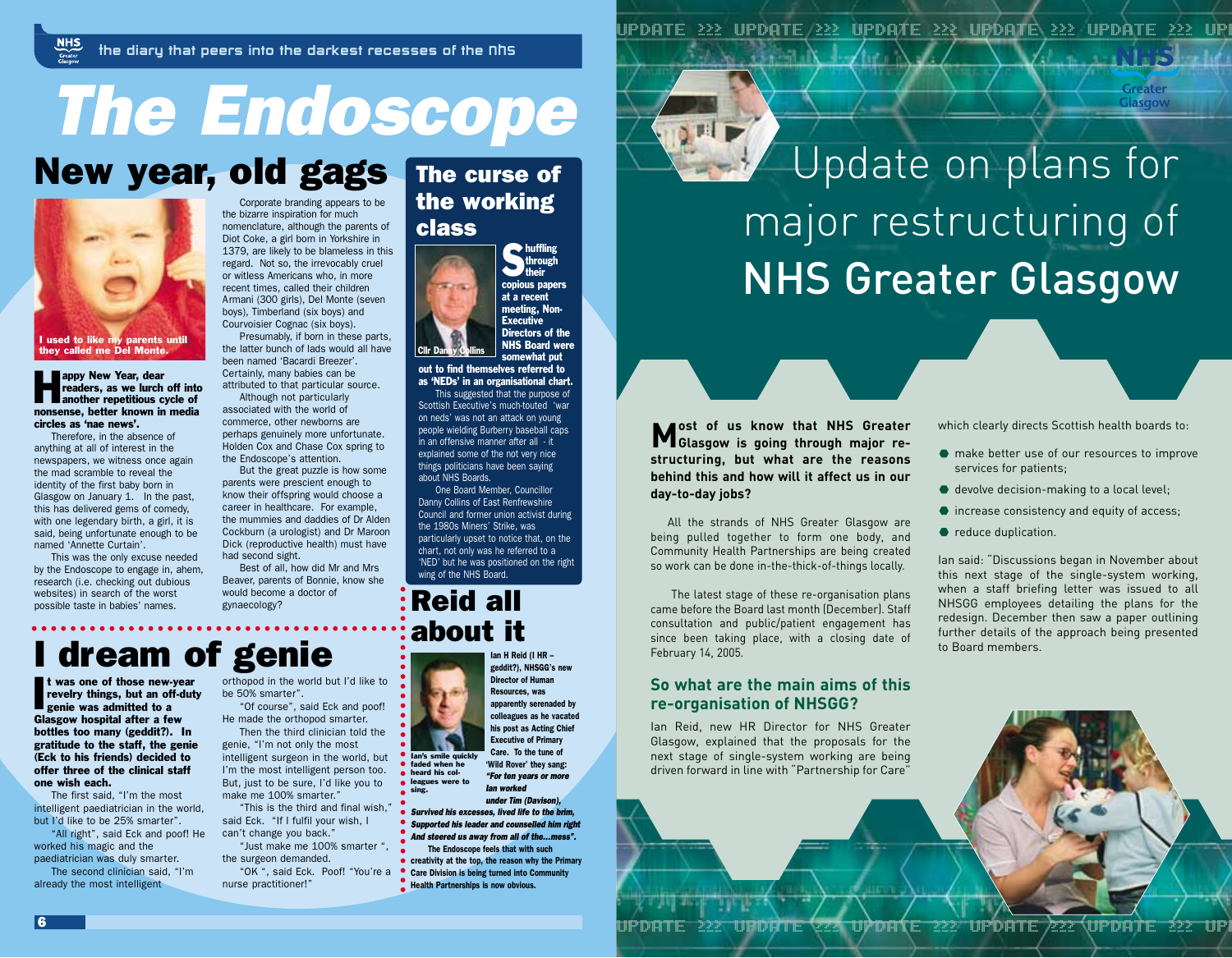# *The Endoscope*

# New year, old gags



appy New Year, dear<br>readers, as we lurch off int<br>another repetitious cycle of readers, as we lurch off into nonsense, better known in media circles as 'nae news'.

Therefore, in the absence of anything at all of interest in the newspapers, we witness once again the mad scramble to reveal the identity of the first baby born in Glasgow on January 1. In the past, this has delivered gems of comedy, with one legendary birth, a girl, it is said, being unfortunate enough to be named 'Annette Curtain'.

This was the only excuse needed by the Endoscope to engage in, ahem, research (i.e. checking out dubious websites) in search of the worst possible taste in babies' names.

Corporate branding appears to be the bizarre inspiration for much nomenclature, although the parents of Diot Coke, a girl born in Yorkshire in 1379, are likely to be blameless in this regard. Not so, the irrevocably cruel or witless Americans who, in more recent times, called their children Armani (300 girls), Del Monte (seven boys), Timberland (six boys) and Courvoisier Cognac (six boys).

Presumably, if born in these parts, the latter bunch of lads would all have been named 'Bacardi Breezer'. Certainly, many babies can be attributed to that particular source. Although not particularly associated with the world of commerce, other newborns are

perhaps genuinely more unfortunate. Holden Cox and Chase Cox spring to the Endoscope's attention.

But the great puzzle is how some parents were prescient enough to know their offspring would choose a career in healthcare. For example, the mummies and daddies of Dr Alden Cockburn (a urologist) and Dr Maroon Dick (reproductive health) must have had second sight.

Best of all, how did Mr and Mrs Beaver, parents of Bonnie, know she would become a doctor of gynaecology?

### The curse of the working class



somewhat put out to find themselves referred to as 'NEDs' in an organisational chart.

This suggested that the purpose of Scottish Executive's much-touted 'war on neds' was not an attack on young people wielding Burberry baseball caps in an offensive manner after all - it explained some of the not very nice things politicians have been saying about NHS Boards.

One Board Member, Councillor Danny Collins of East Renfrewshire Council and former union activist during the 1980s Miners' Strike, was particularly upset to notice that, on the chart, not only was he referred to a 'NED' but he was positioned on the right wing of the NHS Board.

### Reid all about it

 $\blacksquare$  lan's s

sing.

# dream of genie

I was one of those new-<br>revelry things, but an of<br>genie was admitted to a t was one of those new-year revelry things, but an off-duty Glasgow hospital after a few bottles too many (geddit?). In gratitude to the staff, the genie (Eck to his friends) decided to offer three of the clinical staff one wish each.

The first said, "I'm the most intelligent paediatrician in the world, but I'd like to be 25% smarter".

"All right", said Eck and poof! He worked his magic and the paediatrician was duly smarter.

The second clinician said, "I'm already the most intelligent

orthopod in the world but I'd like to be 50% smarter".

"Of course", said Eck and poof! He made the orthopod smarter. Then the third clinician told the genie, "I'm not only the most intelligent surgeon in the world, but

I'm the most intelligent person too. But, just to be sure, I'd like you to make me 100% smarter." "This is the third and final wish,"

said Eck. "If I fulfil your wish, I can't change you back."

"Just make me 100% smarter ", the surgeon demanded. nurse practitioner!"

### Ian H Reid (I HR – geddit?), NHSGG's new

Director of Human Resources, was apparently serenaded by colleagues as he vacated his post as Acting Chief Executive of Primary Care. To the tune of

'Wild Rover' they sang: *"For ten years or more Ian worked under Tim (Davison),* faded when he heard his colleagues were to

*Survived his excesses, lived life to the brim, Supported his leader and counselled him right And steered us away from all of the…mess".* The Endoscope feels that with such

creativity at the top, the reason why the Primary "OK ", said Eck. Poof! "You're a **. Care Division is being turned into Community A** Health Partnerships is now obvious.

UPDATE ≥≥≥ UPDATE ≥≥≥ UPDATE ≥≥≥ UPDATE ≥≥≥ UPDATE ≥≥≥ UPD

# $2$  FI  $\blacktriangleright$ Update on plans for major restructuring of NHS Greater Glasgow

**Most of us know that NHS Greater Glasgow is going through major restructuring, but what are the reasons behind this and how will it affect us in our day-to-day jobs?**

All the strands of NHS Greater Glasgow are being pulled together to form one body, and Community Health Partnerships are being created so work can be done in-the-thick-of-things locally.

The latest stage of these re-organisation plans came before the Board last month (December). Staff consultation and public/patient engagement has since been taking place, with a closing date of February 14, 2005.

#### **So what are the main aims of this re-organisation of NHSGG?**

Ian Reid, new HR Director for NHS Greater Glasgow, explained that the proposals for the next stage of single-system working are being driven forward in line with "Partnership for Care"

which clearly directs Scottish health boards to:

Greater Glasgow

- $\bullet$  make better use of our resources to improve services for patients;
- devolve decision-making to a local level;
- increase consistency and equity of access;
- reduce duplication.

Ian said: "Discussions began in November about this next stage of the single-system working, when a staff briefing letter was issued to all NHSGG employees detailing the plans for the redesign. December then saw a paper outlining further details of the approach being presented to Board members.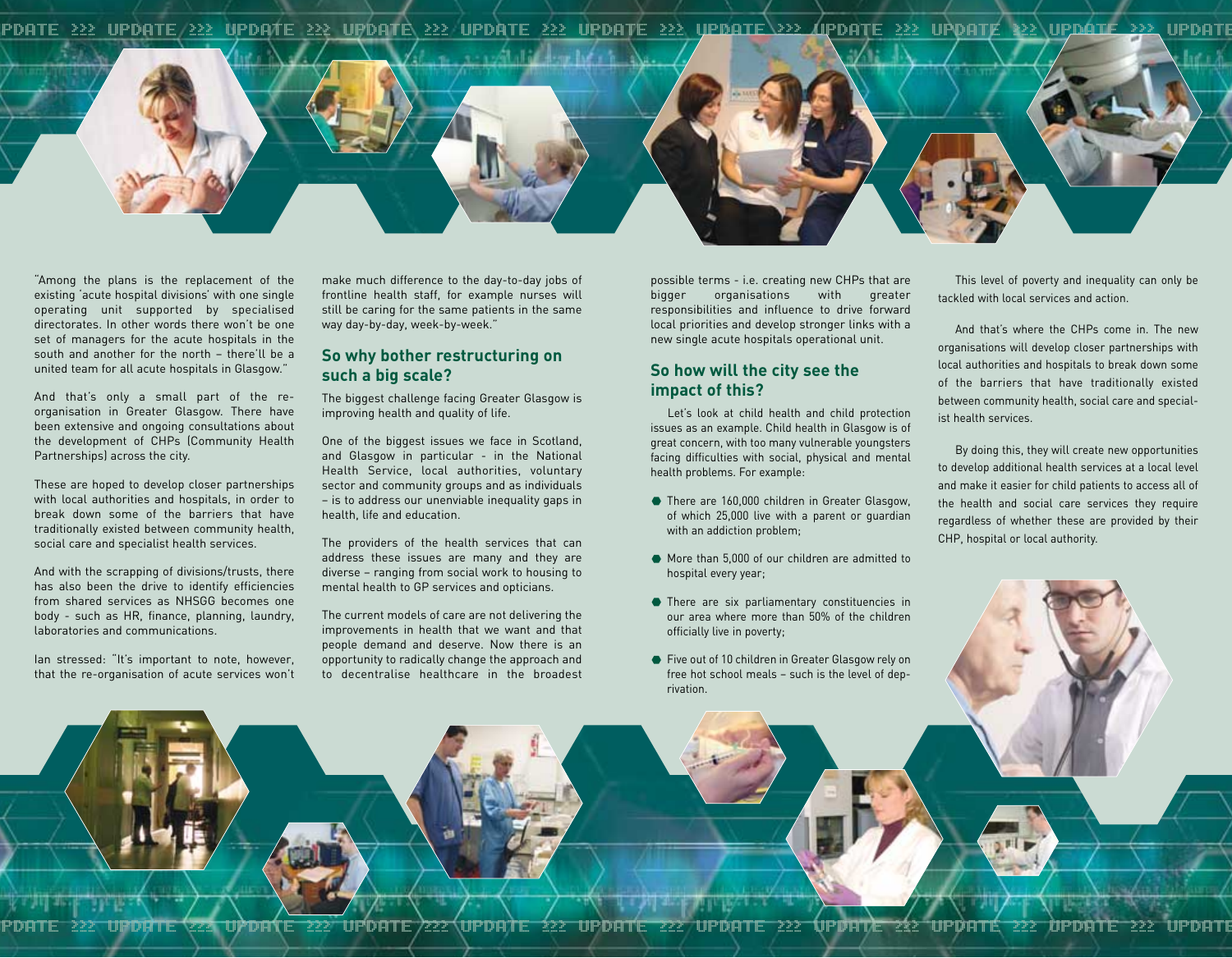UPDATE ≥≥≥ UPDATE ≥≥≥ UPDATE ≥≥≥ UPDATE ≥≥≥ UPDATE ≥≥≥ UPDATE ≥≥≥ UPDATE ≥≥≥ UPDATE ≥≥≥ UPDATE ≥≥≥ UPDATE ≥≥≥ UPDATE



"Among the plans is the replacement of the existing 'acute hospital divisions' with one single operating unit supported by specialised directorates. In other words there won't be one set of managers for the acute hospitals in the south and another for the north – there'll be a united team for all acute hospitals in Glasgow."

And that's only a small part of the reorganisation in Greater Glasgow. There have been extensive and ongoing consultations about the development of CHPs (Community Health Partnerships) across the city.

These are hoped to develop closer partnerships with local authorities and hospitals, in order to break down some of the barriers that have traditionally existed between community health, social care and specialist health services.

And with the scrapping of divisions/trusts, there has also been the drive to identify efficiencies from shared services as NHSGG becomes one body - such as HR, finance, planning, laundry, laboratories and communications.

Ian stressed: "It's important to note, however, that the re-organisation of acute services won't

make much difference to the day-to-day jobs of frontline health staff, for example nurses will still be caring for the same patients in the same way day-by-day, week-by-week."

#### **So why bother restructuring on such a big scale?**

The biggest challenge facing Greater Glasgow is improving health and quality of life.

One of the biggest issues we face in Scotland, and Glasgow in particular - in the National Health Service, local authorities, voluntary sector and community groups and as individuals – is to address our unenviable inequality gaps in health, life and education.

The providers of the health services that can address these issues are many and they are diverse – ranging from social work to housing to mental health to GP services and opticians.

The current models of care are not delivering the improvements in health that we want and that people demand and deserve. Now there is an opportunity to radically change the approach and to decentralise healthcare in the broadest

possible terms - i.e. creating new CHPs that are bigger organisations with greater responsibilities and influence to drive forward local priorities and develop stronger links with a new single acute hospitals operational unit.

#### **So how will the city see the impact of this?**

Let's look at child health and child protection issues as an example. Child health in Glasgow is of great concern, with too many vulnerable youngsters facing difficulties with social, physical and mental health problems. For example:

- There are 160,000 children in Greater Glasgow, of which 25,000 live with a parent or guardian with an addiction problem;
- More than 5,000 of our children are admitted to hospital every year;
- There are six parliamentary constituencies in our area where more than 50% of the children officially live in poverty;
- Five out of 10 children in Greater Glasgow rely on free hot school meals – such is the level of deprivation.

This level of poverty and inequality can only be tackled with local services and action.

And that's where the CHPs come in. The new organisations will develop closer partnerships with local authorities and hospitals to break down some of the barriers that have traditionally existed between community health, social care and specialist health services.

By doing this, they will create new opportunities to develop additional health services at a local level and make it easier for child patients to access all of the health and social care services they require regardless of whether these are provided by their CHP, hospital or local authority.

```
UPDATE ≥≥≥ UPDATE ≥≥≥ UPDATE ≥≥≥ UPDATE ≥≥≥ UPDATE ≥≥≥ UPDATE ≥≥≥ UPDATE ≥≥≥ UPDATE ≥≥≥ UPDATE ≥≥≥ UPDATE ≥≥≥ UPDATE
```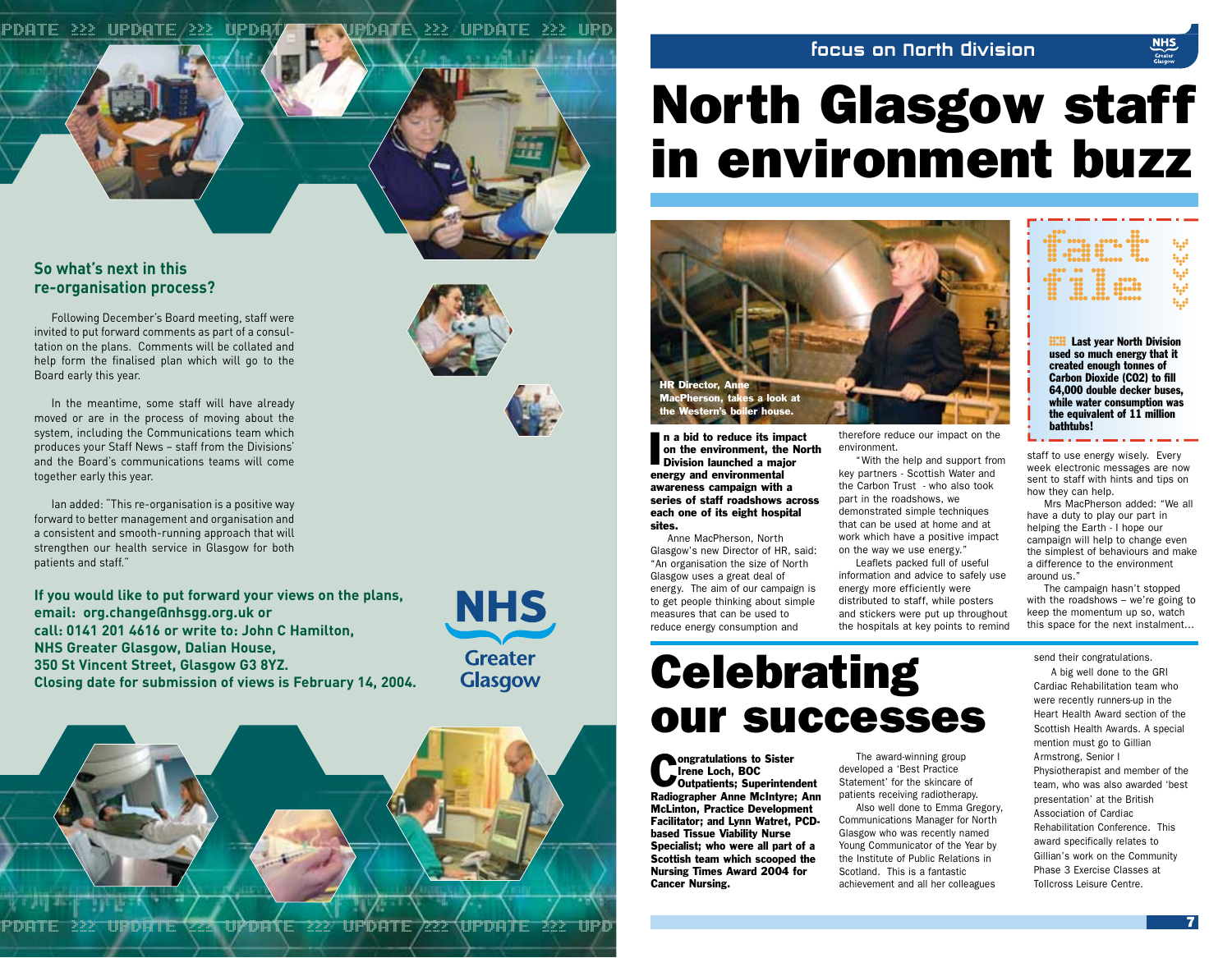#### UPDATE ≥≥≥ UPDATE ≥≥≥ UPDATE ≥≥≥ UPDATE ≥≥≥ UPDATE ≥≥≥ UPD

#### focus on North division

# North Glasgow staff in environment buzz



n a bid to reduce its impa<br>on the environment, the M<br>Division launched a major n a bid to reduce its impact on the environment, the North energy and environmental awareness campaign with a series of staff roadshows across each one of its eight hospital sites.

Anne MacPherson, North Glasgow's new Director of HR, said: "An organisation the size of North Glasgow uses a great deal of energy. The aim of our campaign is to get people thinking about simple measures that can be used to reduce energy consumption and

# **Celebrating** our successes

**Congratulations to Sister<br>Confidence Loch, BOC**<br>Contpatients; Superintendent Irene Loch, BOC Radiographer Anne McIntyre; Ann McLinton, Practice Development Facilitator; and Lynn Watret, PCDbased Tissue Viability Nurse Specialist; who were all part of a Scottish team which scooped the Nursing Times Award 2004 for Cancer Nursing.

therefore reduce our impact on the environment.

"With the help and support from key partners - Scottish Water and the Carbon Trust - who also took part in the roadshows, we demonstrated simple techniques that can be used at home and at work which have a positive impact on the way we use energy." Leaflets packed full of useful

information and advice to safely use energy more efficiently were distributed to staff, while posters and stickers were put up throughout the hospitals at key points to remind

The award-winning group developed a 'Best Practice Statement' for the skincare of patients receiving radiotherapy.

Also well done to Emma Gregory, Communications Manager for North Glasgow who was recently named Young Communicator of the Year by the Institute of Public Relations in Scotland. This is a fantastic achievement and all her colleagues

### $\begin{matrix} 1 & 1 & 1 \\ 1 & 1 & 1 \\ 1 & 1 & 1 \\ 1 & 1 & 1 \\ 1 & 1 & 1 \\ 1 & 1 & 1 \\ 1 & 1 & 1 \\ 1 & 1 & 1 \\ 1 & 1 & 1 \\ 1 & 1 & 1 \\ 1 & 1 & 1 \\ 1 & 1 & 1 \\ 1 & 1 & 1 \\ 1 & 1 & 1 \\ 1 & 1 & 1 \\ 1 & 1 & 1 \\ 1 & 1 & 1 \\ 1 & 1 & 1 \\ 1 & 1 & 1 \\ 1 & 1 & 1 \\ 1 & 1 & 1 \\ 1 & 1 & 1 \\ 1 & 1 & 1 & 1 \\ 1 & 1$ **file**  $\begin{bmatrix} 0 & 0 & 0 \\ 0 & 0 & 0 \\ \vdots & \vdots & \vdots \\ 0 & 0 & 0 & 0 \\ \vdots & \vdots & \vdots \\ 0 & 0 & 0 & 0 \\ \end{bmatrix}$ ابية<br>ابية<br>ابية<br>ابية

**HAST** Last year North Division<br>used so much energy that it<br>created enough tonnes of used so much energy that it Carbon Dioxide (CO2) to fill 64,000 double decker buses, while water consumption was the equivalent of 11 million bathtubs!

staff to use energy wisely. Every week electronic messages are now sent to staff with hints and tips on how they can help.

Mrs MacPherson added: "We all have a duty to play our part in helping the Earth - I hope our campaign will help to change even the simplest of behaviours and make a difference to the environment around us."

The campaign hasn't stopped with the roadshows – we're going to keep the momentum up so, watch this space for the next instalment…

send their congratulations.

A big well done to the GRI Cardiac Rehabilitation team who were recently runners-up in the Heart Health Award section of the Scottish Health Awards. A special mention must go to Gillian Armstrong, Senior I Physiotherapist and member of the team, who was also awarded 'best presentation' at the British Association of Cardiac Rehabilitation Conference. This award specifically relates to Gillian's work on the Community Phase 3 Exercise Classes at Tollcross Leisure Centre.

#### **So what's next in this re-organisation process?**

Following December's Board meeting, staff were invited to put forward comments as part of a consultation on the plans. Comments will be collated and help form the finalised plan which will go to the Board early this year.

In the meantime, some staff will have already moved or are in the process of moving about the system, including the Communications team which produces your Staff News – staff from the Divisions' and the Board's communications teams will come together early this year.

Ian added: "This re-organisation is a positive way forward to better management and organisation and a consistent and smooth-running approach that will strengthen our health service in Glasgow for both patients and staff."

**If you would like to put forward your views on the plans, email: org.change@nhsgg.org.uk or call: 0141 201 4616 or write to: John C Hamilton, NHS Greater Glasgow, Dalian House, 350 St Vincent Street, Glasgow G3 8YZ. Closing date for submission of views is February 14, 2004.**





UPDATE ≥≥≥ UPDATE ≥≥≥ UPDATE ≥≥≥ UPDATE ≥≥≥ UPDATE ≥≥≥ UPD <sup>7</sup>

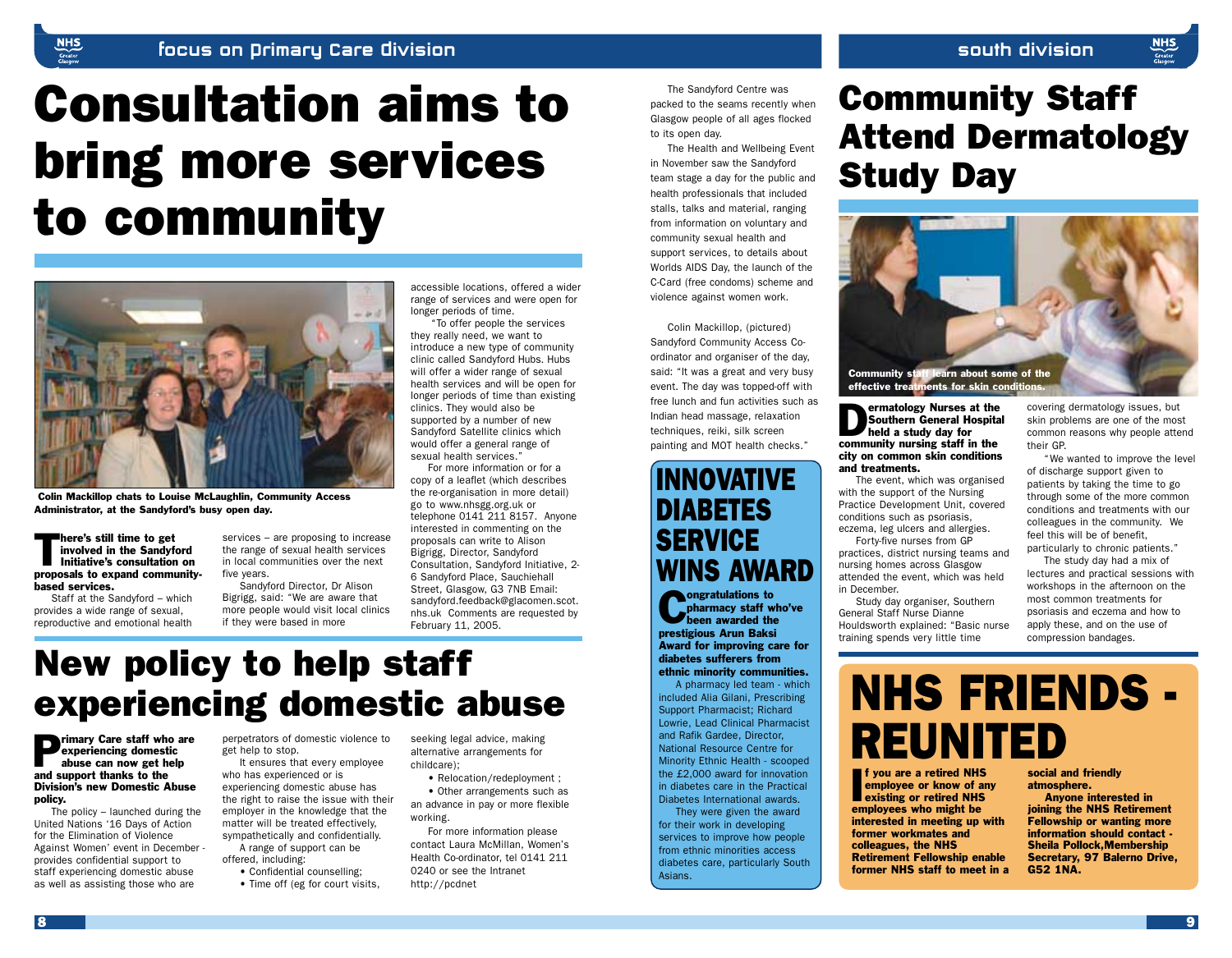# Consultation aims to bring more services to community



Colin Mackillop chats to Louise McLaughlin, Community Access Administrator, at the Sandyford's busy open day.

There's still time to get involved in the Sandyford Initiative's consultation on proposals to expand communitybased services.

Staff at the Sandyford – which provides a wide range of sexual, reproductive and emotional health

services – are proposing to increase the range of sexual health services in local communities over the next five years.

Sandyford Director, Dr Alison Bigrigg, said: "We are aware that more people would visit local clinics if they were based in more

accessible locations, offered a wider range of services and were open for longer periods of time.

"To offer people the services they really need, we want to introduce a new type of community clinic called Sandyford Hubs. Hubs will offer a wider range of sexual health services and will be open for longer periods of time than existing clinics. They would also be supported by a number of new Sandyford Satellite clinics which would offer a general range of sexual health services."

For more information or for a copy of a leaflet (which describes the re-organisation in more detail) go to www.nhsgg.org.uk or telephone 0141 211 8157. Anyone interested in commenting on the proposals can write to Alison Bigrigg, Director, Sandyford Consultation, Sandyford Initiative, 2- 6 Sandyford Place, Sauchiehall Street, Glasgow, G3 7NB Email: sandyford.feedback@glacomen.scot. nhs.uk Comments are requested by February 11, 2005.

# New policy to help staff experiencing domestic abuse

**Primary Care staff who are<br>experiencing domestic<br>abuse can now get help** experiencing domestic abuse can now get help and support thanks to the Division's new Domestic Abuse policy.

The policy – launched during the United Nations '16 Days of Action for the Elimination of Violence Against Women' event in December provides confidential support to staff experiencing domestic abuse as well as assisting those who are

perpetrators of domestic violence to get help to stop.

It ensures that every employee who has experienced or is experiencing domestic abuse has the right to raise the issue with their employer in the knowledge that the matter will be treated effectively, sympathetically and confidentially. A range of support can be

offered, including: • Confidential counselling;

• Time off (eg for court visits,

seeking legal advice, making alternative arrangements for childcare);

• Relocation/redeployment ; • Other arrangements such as an advance in pay or more flexible

working. For more information please contact Laura McMillan, Women's Health Co-ordinator, tel 0141 211 0240 or see the Intranet http://pcdnet

The Sandyford Centre was packed to the seams recently when Glasgow people of all ages flocked to its open day.

The Health and Wellbeing Event in November saw the Sandyford team stage a day for the public and health professionals that included stalls, talks and material, ranging from information on voluntary and community sexual health and support services, to details about Worlds AIDS Day, the launch of the C-Card (free condoms) scheme and violence against women work.

Colin Mackillop, (pictured) Sandyford Community Access Coordinator and organiser of the day, said: "It was a great and very busy event. The day was topped-off with free lunch and fun activities such as Indian head massage, relaxation techniques, reiki, silk screen painting and MOT health checks."

### INNOVATIVE DIABETES **SERVICE WINS AWARD**

**Constant of the pharmacy staff w**<br>been awarded the pharmacy staff who've been awarded the prestigious Arun Baksi Award for improving care for diabetes sufferers from ethnic minority communities.

A pharmacy led team - which included Alia Gilani, Prescribing Support Pharmacist; Richard Lowrie, Lead Clinical Pharmacist and Rafik Gardee, Director, National Resource Centre for Minority Ethnic Health - scooped the £2,000 award for innovation in diabetes care in the Practical Diabetes International awards. They were given the award for their work in developing services to improve how people from ethnic minorities access diabetes care, particularly South Asians.

# Community Staff Attend Dermatology Study Day



**Dermatology Nurses at the Southern General Hospital Southern General Hospital Southern Street September 2018** Southern General Hospital held a study day for community nursing staff in the city on common skin conditions and treatments.

The event, which was organised with the support of the Nursing Practice Development Unit, covered conditions such as psoriasis, eczema, leg ulcers and allergies. Forty-five nurses from GP

practices, district nursing teams and nursing homes across Glasgow attended the event, which was held in December.

Study day organiser, Southern General Staff Nurse Dianne Houldsworth explained: "Basic nurse training spends very little time

covering dermatology issues, but skin problems are one of the most common reasons why people attend their GP.

**NHS** 

"We wanted to improve the level of discharge support given to patients by taking the time to go through some of the more common conditions and treatments with our colleagues in the community. We feel this will be of benefit, particularly to chronic patients."

The study day had a mix of lectures and practical sessions with workshops in the afternoon on the most common treatments for psoriasis and eczema and how to apply these, and on the use of compression bandages.

# NHS FRIENDS - REUNITED

**F** you are a retired NH:<br>
employee or know of a<br>
existing or retired NH:<br>
employees who might be f you are a retired NHS employee or know of any existing or retired NHS interested in meeting up with former workmates and colleagues, the NHS Retirement Fellowship enable former NHS staff to meet in a social and friendly atmosphere.

Anyone interested in joining the NHS Retirement Fellowship or wanting more information should contact - Sheila Pollock,Membership Secretary, 97 Balerno Drive, G52 1NA.

8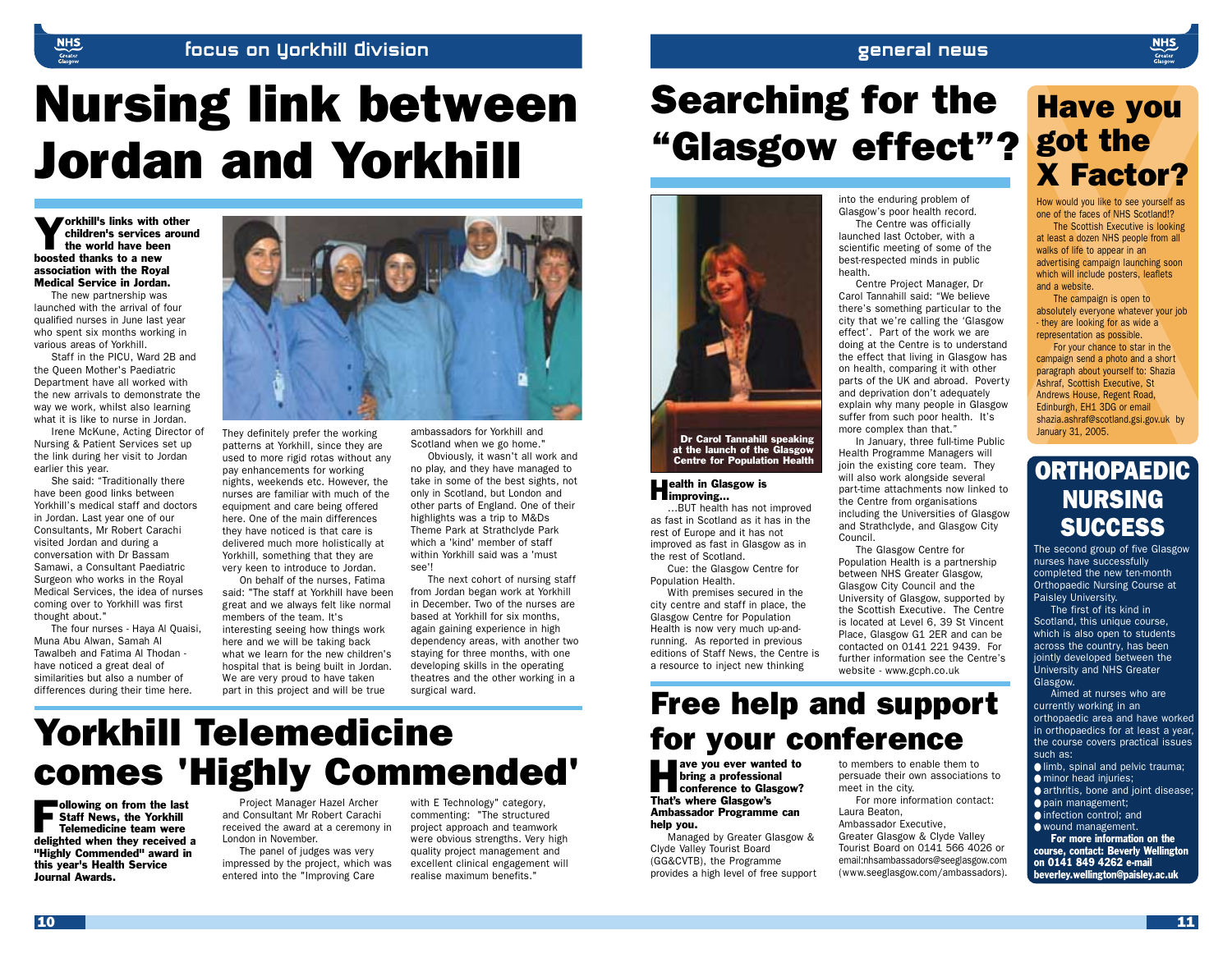#### focus on yorkhill division

# Nursing link between Jordan and Yorkhill

**Yorkhill's links with other** children's services around the world have been boosted thanks to a new association with the Royal Medical Service in Jordan.

The new partnership was launched with the arrival of four qualified nurses in June last year who spent six months working in various areas of Yorkhill.

Staff in the PICU, Ward 2B and the Queen Mother's Paediatric Department have all worked with the new arrivals to demonstrate the way we work, whilst also learning what it is like to nurse in Jordan.

Irene McKune, Acting Director of Nursing & Patient Services set up the link during her visit to Jordan earlier this year.

She said: "Traditionally there have been good links between Yorkhill's medical staff and doctors in Jordan. Last year one of our Consultants, Mr Robert Carachi visited Jordan and during a conversation with Dr Bassam Samawi, a Consultant Paediatric Surgeon who works in the Royal Medical Services, the idea of nurses coming over to Yorkhill was first thought about."

The four nurses - Haya Al Quaisi, Muna Abu Alwan, Samah Al Tawalbeh and Fatima Al Thodan have noticed a great deal of similarities but also a number of differences during their time here.



They definitely prefer the working patterns at Yorkhill, since they are used to more rigid rotas without any pay enhancements for working nights, weekends etc. However, the nurses are familiar with much of the equipment and care being offered here. One of the main differences they have noticed is that care is delivered much more holistically at Yorkhill, something that they are very keen to introduce to Jordan.

On behalf of the nurses, Fatima said: "The staff at Yorkhill have been great and we always felt like normal members of the team. It's interesting seeing how things work here and we will be taking back what we learn for the new children's hospital that is being built in Jordan. We are very proud to have taken part in this project and will be true

ambassadors for Yorkhill and Scotland when we go home."

Obviously, it wasn't all work and no play, and they have managed to take in some of the best sights, not only in Scotland, but London and other parts of England. One of their highlights was a trip to M&Ds Theme Park at Strathclyde Park which a 'kind' member of staff within Yorkhill said was a 'must see'!

The next cohort of nursing staff from Jordan began work at Yorkhill in December. Two of the nurses are based at Yorkhill for six months, again gaining experience in high dependency areas, with another two staying for three months, with one developing skills in the operating theatres and the other working in a surgical ward.

# Searching for the "Glasgow effect"?



Dr Carol Tannahill speaking at the launch of the Glasgow Centre for Population Health

#### **Health in Glasgow is**<br>**H**improving...

…BUT health has not improved as fast in Scotland as it has in the rest of Europe and it has not improved as fast in Glasgow as in the rest of Scotland. Cue: the Glasgow Centre for

Population Health.

With premises secured in the city centre and staff in place, the Glasgow Centre for Population Health is now very much up-andrunning. As reported in previous editions of Staff News, the Centre is a resource to inject new thinking

# Free help and support **for your conference**

#### ave you ever wanted to<br>
bring a professional<br>
conference to Glasgow?<br>
Their where Clear with bring a professional That's where Glasgow's Ambassador Programme can help you.

Managed by Greater Glasgow & Clyde Valley Tourist Board (GG&CVTB), the Programme provides a high level of free support into the enduring problem of Glasgow's poor health record. The Centre was officially launched last October, with a scientific meeting of some of the best-respected minds in public health.

general news

Centre Project Manager, Dr Carol Tannahill said: "We believe there's something particular to the city that we're calling the 'Glasgow effect'. Part of the work we are doing at the Centre is to understand the effect that living in Glasgow has on health, comparing it with other parts of the UK and abroad. Poverty and deprivation don't adequately explain why many people in Glasgow suffer from such poor health. It's more complex than that."

In January, three full-time Public Health Programme Managers will join the existing core team. They will also work alongside several part-time attachments now linked to the Centre from organisations including the Universities of Glasgow and Strathclyde, and Glasgow City Council.

The Glasgow Centre for Population Health is a partnership between NHS Greater Glasgow, Glasgow City Council and the University of Glasgow, supported by the Scottish Executive. The Centre is located at Level 6, 39 St Vincent Place, Glasgow G1 2ER and can be contacted on 0141 221 9439. For further information see the Centre's website - www.gcph.co.uk

to members to enable them to persuade their own associations to meet in the city.

For more information contact: Laura Beaton,

Ambassador Executive, Greater Glasgow & Clyde Valley

Tourist Board on 0141 566 4026 or email:nhsambassadors@seeglasgow.com (www.seeglasgow.com/ambassadors).

### Have you got the X Factor?

**NHS** 

How would you like to see yourself as one of the faces of NHS Scotland!?

The Scottish Executive is looking at least a dozen NHS people from all walks of life to appear in an advertising campaign launching soon which will include posters, leaflets and a website.

The campaign is open to absolutely everyone whatever your job - they are looking for as wide a representation as possible.

For your chance to star in the campaign send a photo and a short paragraph about yourself to: Shazia Ashraf, Scottish Executive, St Andrews House, Regent Road, Edinburgh, EH1 3DG or email shazia.ashraf@scotland.gsi.gov.uk by January 31, 2005.

### **ORTHOPAEDIC** NURSING **SUCCESS**

The second group of five Glasgow nurses have successfully completed the new ten-month Orthopaedic Nursing Course at Paisley University.

The first of its kind in Scotland, this unique course, which is also open to students across the country, has been jointly developed between the University and NHS Greater Glasgow.

Aimed at nurses who are currently working in an orthopaedic area and have worked in orthopaedics for at least a year, the course covers practical issues such as:

Ilmb, spinal and pelvic trauma; ● minor head injuries;

- arthritis, bone and joint disease;
- pain management;
- infection control; and

● wound management.

For more information on the course, contact: Beverly Wellington on 0141 849 4262 e-mail beverley.wellington@paisley.ac.uk

Yorkhill Telemedicine comes 'Highly Commended'

Following on from the last Staff News, the Yorkhill Telemedicine team were delighted when they received a "Highly Commended" award in this year's Health Service Journal Awards.

Project Manager Hazel Archer and Consultant Mr Robert Carachi received the award at a ceremony in London in November.

> The panel of judges was very impressed by the project, which was entered into the "Improving Care

with E Technology" category, commenting: "The structured project approach and teamwork were obvious strengths. Very high quality project management and excellent clinical engagement will realise maximum benefits."